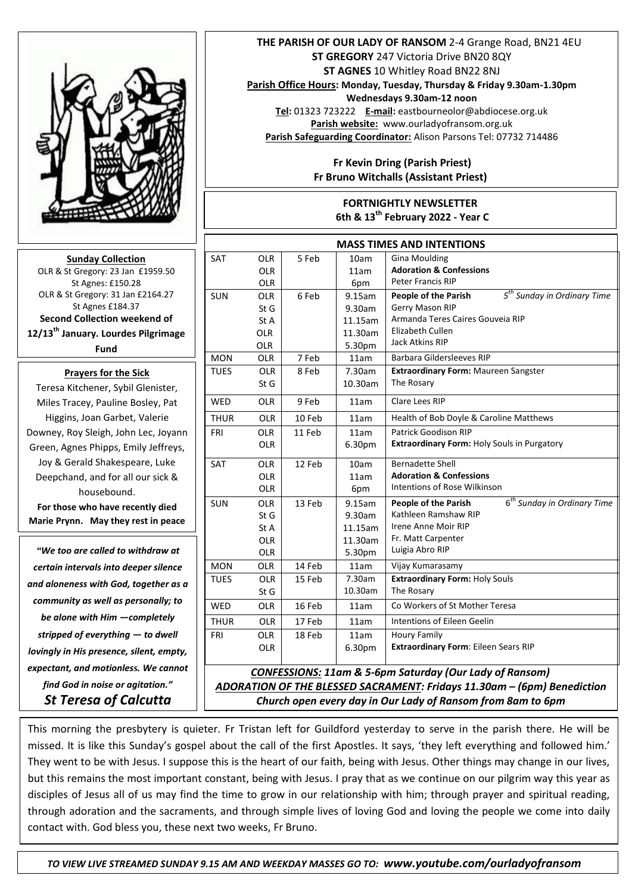

**Sunday Collection** OLR & St Gregory: 23 Jan £1959.50 St Agnes: £150.28 OLR & St Gregory: 31 Jan £2164.27 St Agnes £184.37 **Second Collection weekend of 12/13th January. Lourdes Pilgrimage Fund**

## **Prayers for the Sick**

Teresa Kitchener, Sybil Glenister, Miles Tracey, Pauline Bosley, Pat Higgins, Joan Garbet, Valerie Downey, Roy Sleigh, John Lec, Joyann Green, Agnes Phipps, Emily Jeffreys, Joy & Gerald Shakespeare, Luke Deepchand, and for all our sick & housebound. **For those who have recently died Marie Prynn. May they rest in peace** 

*"We too are called to withdraw at certain intervals into deeper silence and aloneness with God, together as a community as well as personally; to be alone with Him —completely stripped of everything — to dwell lovingly in His presence, silent, empty, expectant, and motionless. We cannot find God in noise or agitation." St Teresa of Calcutta*

## **THE PARISH OF OUR LADY OF RANSOM** 2-4 Grange Road, BN21 4EU **ST GREGORY** 247 Victoria Drive BN20 8QY **ST AGNES** 10 Whitley Road BN22 8NJ

**Parish Office Hours: Monday, Tuesday, Thursday & Friday 9.30am-1.30pm** 

**Wednesdays 9.30am-12 noon**

**Tel:** 01323 723222 **E-mail:** eastbourneolor@abdiocese.org.uk **Parish website:** [www.ourladyofransom.org.uk](http://www.ourladyofransom.org.uk/) **Parish Safeguarding Coordinator:** Alison Parsons Tel: 07732 714486

## **Fr Kevin Dring (Parish Priest) Fr Bruno Witchalls (Assistant Priest)**

## **FORTNIGHTLY NEWSLETTER**

 **6th & 13th February 2022 - Year C**

| <b>MASS TIMES AND INTENTIONS</b>                                        |            |        |         |                                                                        |
|-------------------------------------------------------------------------|------------|--------|---------|------------------------------------------------------------------------|
| <b>SAT</b>                                                              | <b>OLR</b> | 5 Feb  | 10am    | <b>Gina Moulding</b>                                                   |
|                                                                         | <b>OLR</b> |        | 11am    | <b>Adoration &amp; Confessions</b>                                     |
|                                                                         | OLR        |        | 6pm     | <b>Peter Francis RIP</b>                                               |
| <b>SUN</b>                                                              | <b>OLR</b> | 6 Feb  | 9.15am  | 5 <sup>th</sup> Sunday in Ordinary Time<br><b>People of the Parish</b> |
|                                                                         | St G       |        | 9.30am  | Gerry Mason RIP                                                        |
|                                                                         | St A       |        | 11.15am | Armanda Teres Caires Gouveia RIP                                       |
|                                                                         | <b>OLR</b> |        | 11.30am | Elizabeth Cullen<br><b>Jack Atkins RIP</b>                             |
|                                                                         | <b>OLR</b> |        | 5.30pm  |                                                                        |
| <b>MON</b>                                                              | <b>OLR</b> | 7 Feb  | 11am    | Barbara Gildersleeves RIP                                              |
| <b>TUES</b>                                                             | <b>OLR</b> | 8 Feb  | 7.30am  | <b>Extraordinary Form: Maureen Sangster</b>                            |
|                                                                         | St G       |        | 10.30am | The Rosary                                                             |
| <b>WED</b>                                                              | <b>OLR</b> | 9 Feb  | 11am    | Clare Lees RIP                                                         |
| <b>THUR</b>                                                             | <b>OLR</b> | 10 Feb | 11am    | Health of Bob Doyle & Caroline Matthews                                |
| FRI                                                                     | <b>OLR</b> | 11 Feb | 11am    | Patrick Goodison RIP                                                   |
|                                                                         | <b>OLR</b> |        | 6.30pm  | <b>Extraordinary Form: Holy Souls in Purgatory</b>                     |
| <b>SAT</b>                                                              | <b>OLR</b> | 12 Feb | 10am    | <b>Bernadette Shell</b>                                                |
|                                                                         | <b>OLR</b> |        | 11am    | <b>Adoration &amp; Confessions</b>                                     |
|                                                                         | <b>OLR</b> |        | 6pm     | Intentions of Rose Wilkinson                                           |
| <b>SUN</b>                                                              | <b>OLR</b> | 13 Feb | 9.15am  | 6 <sup>th</sup> Sunday in Ordinary Time<br>People of the Parish        |
|                                                                         | St G       |        | 9.30am  | Kathleen Ramshaw RIP                                                   |
|                                                                         | St A       |        | 11.15am | Irene Anne Moir RIP                                                    |
|                                                                         | <b>OLR</b> |        | 11.30am | Fr. Matt Carpenter                                                     |
|                                                                         | <b>OLR</b> |        | 5.30pm  | Luigia Abro RIP                                                        |
| <b>MON</b>                                                              | OLR        | 14 Feb | 11am    | Vijay Kumarasamy                                                       |
| <b>TUES</b>                                                             | <b>OLR</b> | 15 Feb | 7.30am  | <b>Extraordinary Form: Holy Souls</b>                                  |
|                                                                         | St G       |        | 10.30am | The Rosary                                                             |
| <b>WED</b>                                                              | <b>OLR</b> | 16 Feb | 11am    | Co Workers of St Mother Teresa                                         |
| <b>THUR</b>                                                             | <b>OLR</b> | 17 Feb | 11am    | Intentions of Eileen Geelin                                            |
| FRI                                                                     | <b>OLR</b> | 18 Feb | 11am    | <b>Houry Family</b>                                                    |
|                                                                         | <b>OLR</b> |        | 6.30pm  | Extraordinary Form: Eileen Sears RIP                                   |
| <b>CONFESSIONS: 11am &amp; 5-6pm Saturday (Our Lady of Ransom)</b>      |            |        |         |                                                                        |
| ADORATION OF THE BLESSED SACRAMENT: Fridays 11.30am - (6pm) Benediction |            |        |         |                                                                        |

*Church open every day in Our Lady of Ransom from 8am to 6pm* 

 missed. It is like this Sunday's gospel about the call of the first Apostles. It says, 'they left everything and followed him.' This morning the presbytery is quieter. Fr Tristan left for Guildford yesterday to serve in the parish there. He will be They went to be with Jesus. I suppose this is the heart of our faith, being with Jesus. Other things may change in our lives, but this remains the most important constant, being with Jesus. I pray that as we continue on our pilgrim way this year as disciples of Jesus all of us may find the time to grow in our relationship with him; through prayer and spiritual reading, through adoration and the sacraments, and through simple lives of loving God and loving the people we come into daily contact with. God bless you, these next two weeks, Fr Bruno.